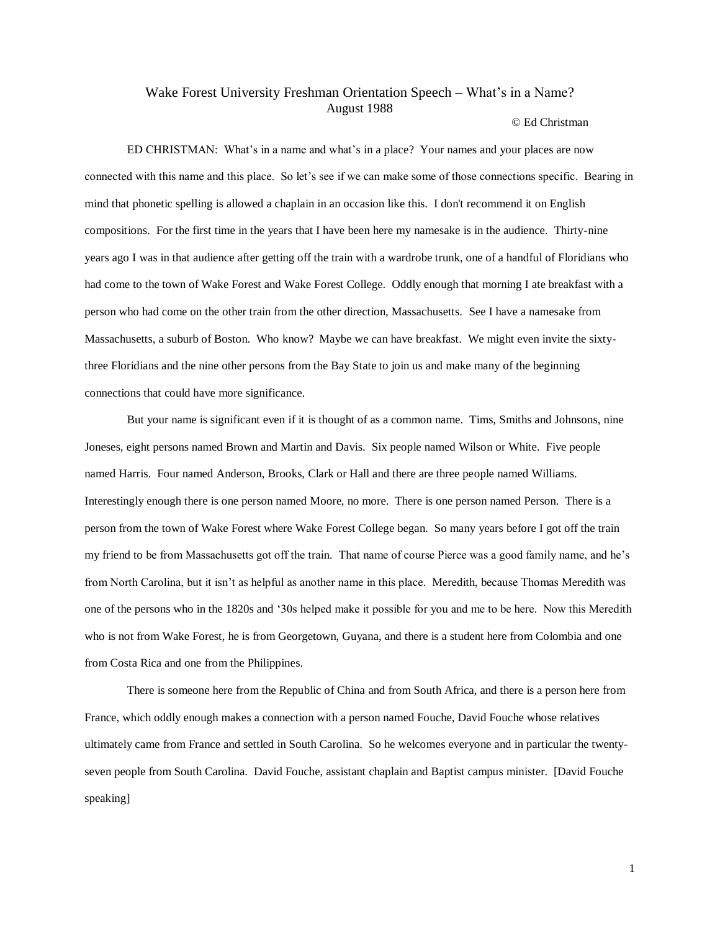## Wake Forest University Freshman Orientation Speech – What's in a Name? August 1988

## © Ed Christman

ED CHRISTMAN: What's in a name and what's in a place? Your names and your places are now connected with this name and this place. So let's see if we can make some of those connections specific. Bearing in mind that phonetic spelling is allowed a chaplain in an occasion like this. I don't recommend it on English compositions. For the first time in the years that I have been here my namesake is in the audience. Thirty-nine years ago I was in that audience after getting off the train with a wardrobe trunk, one of a handful of Floridians who had come to the town of Wake Forest and Wake Forest College. Oddly enough that morning I ate breakfast with a person who had come on the other train from the other direction, Massachusetts. See I have a namesake from Massachusetts, a suburb of Boston. Who know? Maybe we can have breakfast. We might even invite the sixtythree Floridians and the nine other persons from the Bay State to join us and make many of the beginning connections that could have more significance.

But your name is significant even if it is thought of as a common name. Tims, Smiths and Johnsons, nine Joneses, eight persons named Brown and Martin and Davis. Six people named Wilson or White. Five people named Harris. Four named Anderson, Brooks, Clark or Hall and there are three people named Williams. Interestingly enough there is one person named Moore, no more. There is one person named Person. There is a person from the town of Wake Forest where Wake Forest College began. So many years before I got off the train my friend to be from Massachusetts got off the train. That name of course Pierce was a good family name, and he's from North Carolina, but it isn't as helpful as another name in this place. Meredith, because Thomas Meredith was one of the persons who in the 1820s and '30s helped make it possible for you and me to be here. Now this Meredith who is not from Wake Forest, he is from Georgetown, Guyana, and there is a student here from Colombia and one from Costa Rica and one from the Philippines.

There is someone here from the Republic of China and from South Africa, and there is a person here from France, which oddly enough makes a connection with a person named Fouche, David Fouche whose relatives ultimately came from France and settled in South Carolina. So he welcomes everyone and in particular the twentyseven people from South Carolina. David Fouche, assistant chaplain and Baptist campus minister. [David Fouche speaking]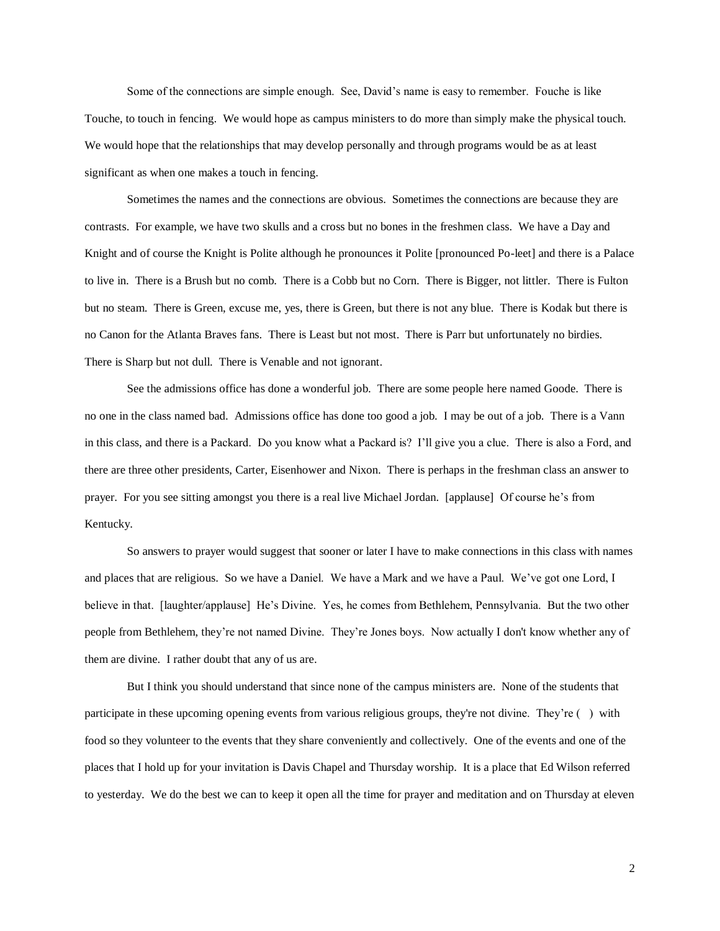Some of the connections are simple enough. See, David's name is easy to remember. Fouche is like Touche, to touch in fencing. We would hope as campus ministers to do more than simply make the physical touch. We would hope that the relationships that may develop personally and through programs would be as at least significant as when one makes a touch in fencing.

Sometimes the names and the connections are obvious. Sometimes the connections are because they are contrasts. For example, we have two skulls and a cross but no bones in the freshmen class. We have a Day and Knight and of course the Knight is Polite although he pronounces it Polite [pronounced Po-leet] and there is a Palace to live in. There is a Brush but no comb. There is a Cobb but no Corn. There is Bigger, not littler. There is Fulton but no steam. There is Green, excuse me, yes, there is Green, but there is not any blue. There is Kodak but there is no Canon for the Atlanta Braves fans. There is Least but not most. There is Parr but unfortunately no birdies. There is Sharp but not dull. There is Venable and not ignorant.

See the admissions office has done a wonderful job. There are some people here named Goode. There is no one in the class named bad. Admissions office has done too good a job. I may be out of a job. There is a Vann in this class, and there is a Packard. Do you know what a Packard is? I'll give you a clue. There is also a Ford, and there are three other presidents, Carter, Eisenhower and Nixon. There is perhaps in the freshman class an answer to prayer. For you see sitting amongst you there is a real live Michael Jordan. [applause] Of course he's from Kentucky.

So answers to prayer would suggest that sooner or later I have to make connections in this class with names and places that are religious. So we have a Daniel. We have a Mark and we have a Paul. We've got one Lord, I believe in that. [laughter/applause] He's Divine. Yes, he comes from Bethlehem, Pennsylvania. But the two other people from Bethlehem, they're not named Divine. They're Jones boys. Now actually I don't know whether any of them are divine. I rather doubt that any of us are.

But I think you should understand that since none of the campus ministers are. None of the students that participate in these upcoming opening events from various religious groups, they're not divine. They're ( ) with food so they volunteer to the events that they share conveniently and collectively. One of the events and one of the places that I hold up for your invitation is Davis Chapel and Thursday worship. It is a place that Ed Wilson referred to yesterday. We do the best we can to keep it open all the time for prayer and meditation and on Thursday at eleven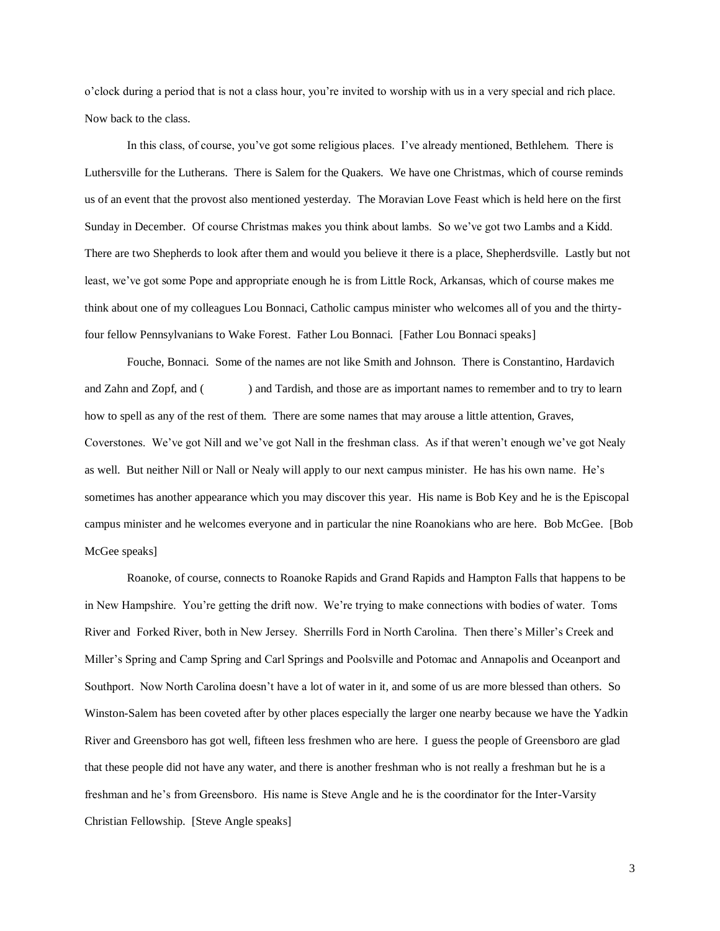o'clock during a period that is not a class hour, you're invited to worship with us in a very special and rich place. Now back to the class.

In this class, of course, you've got some religious places. I've already mentioned, Bethlehem. There is Luthersville for the Lutherans. There is Salem for the Quakers. We have one Christmas, which of course reminds us of an event that the provost also mentioned yesterday. The Moravian Love Feast which is held here on the first Sunday in December. Of course Christmas makes you think about lambs. So we've got two Lambs and a Kidd. There are two Shepherds to look after them and would you believe it there is a place, Shepherdsville. Lastly but not least, we've got some Pope and appropriate enough he is from Little Rock, Arkansas, which of course makes me think about one of my colleagues Lou Bonnaci, Catholic campus minister who welcomes all of you and the thirtyfour fellow Pennsylvanians to Wake Forest. Father Lou Bonnaci. [Father Lou Bonnaci speaks]

Fouche, Bonnaci. Some of the names are not like Smith and Johnson. There is Constantino, Hardavich and Zahn and Zopf, and () and Tardish, and those are as important names to remember and to try to learn how to spell as any of the rest of them. There are some names that may arouse a little attention, Graves, Coverstones. We've got Nill and we've got Nall in the freshman class. As if that weren't enough we've got Nealy as well. But neither Nill or Nall or Nealy will apply to our next campus minister. He has his own name. He's sometimes has another appearance which you may discover this year. His name is Bob Key and he is the Episcopal campus minister and he welcomes everyone and in particular the nine Roanokians who are here. Bob McGee. [Bob McGee speaks]

Roanoke, of course, connects to Roanoke Rapids and Grand Rapids and Hampton Falls that happens to be in New Hampshire. You're getting the drift now. We're trying to make connections with bodies of water. Toms River and Forked River, both in New Jersey. Sherrills Ford in North Carolina. Then there's Miller's Creek and Miller's Spring and Camp Spring and Carl Springs and Poolsville and Potomac and Annapolis and Oceanport and Southport. Now North Carolina doesn't have a lot of water in it, and some of us are more blessed than others. So Winston-Salem has been coveted after by other places especially the larger one nearby because we have the Yadkin River and Greensboro has got well, fifteen less freshmen who are here. I guess the people of Greensboro are glad that these people did not have any water, and there is another freshman who is not really a freshman but he is a freshman and he's from Greensboro. His name is Steve Angle and he is the coordinator for the Inter-Varsity Christian Fellowship. [Steve Angle speaks]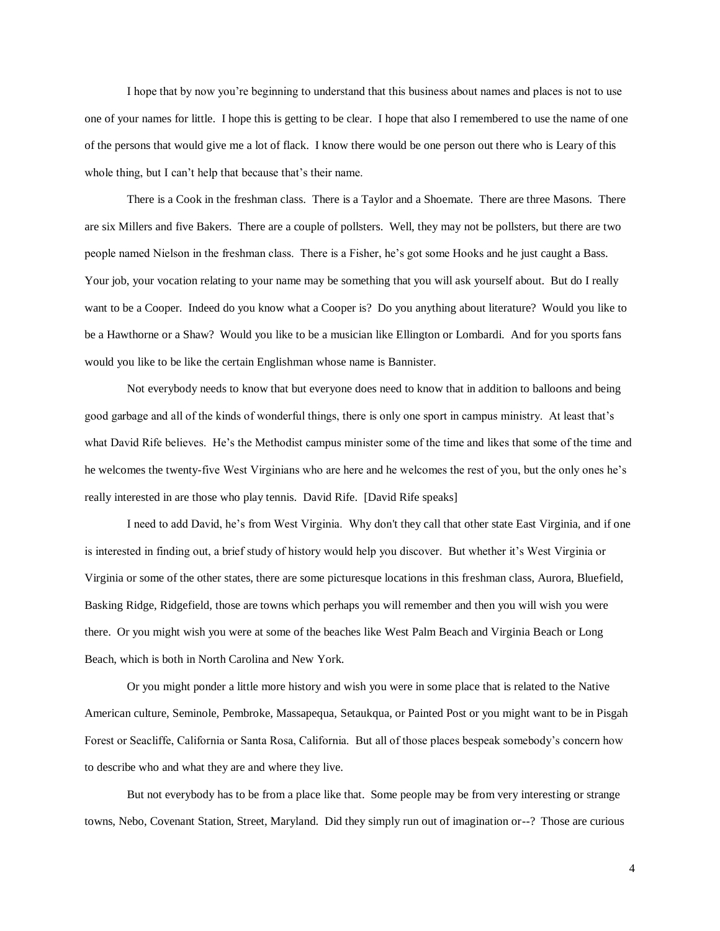I hope that by now you're beginning to understand that this business about names and places is not to use one of your names for little. I hope this is getting to be clear. I hope that also I remembered to use the name of one of the persons that would give me a lot of flack. I know there would be one person out there who is Leary of this whole thing, but I can't help that because that's their name.

There is a Cook in the freshman class. There is a Taylor and a Shoemate. There are three Masons. There are six Millers and five Bakers. There are a couple of pollsters. Well, they may not be pollsters, but there are two people named Nielson in the freshman class. There is a Fisher, he's got some Hooks and he just caught a Bass. Your job, your vocation relating to your name may be something that you will ask yourself about. But do I really want to be a Cooper. Indeed do you know what a Cooper is? Do you anything about literature? Would you like to be a Hawthorne or a Shaw? Would you like to be a musician like Ellington or Lombardi. And for you sports fans would you like to be like the certain Englishman whose name is Bannister.

Not everybody needs to know that but everyone does need to know that in addition to balloons and being good garbage and all of the kinds of wonderful things, there is only one sport in campus ministry. At least that's what David Rife believes. He's the Methodist campus minister some of the time and likes that some of the time and he welcomes the twenty-five West Virginians who are here and he welcomes the rest of you, but the only ones he's really interested in are those who play tennis. David Rife. [David Rife speaks]

I need to add David, he's from West Virginia. Why don't they call that other state East Virginia, and if one is interested in finding out, a brief study of history would help you discover. But whether it's West Virginia or Virginia or some of the other states, there are some picturesque locations in this freshman class, Aurora, Bluefield, Basking Ridge, Ridgefield, those are towns which perhaps you will remember and then you will wish you were there. Or you might wish you were at some of the beaches like West Palm Beach and Virginia Beach or Long Beach, which is both in North Carolina and New York.

Or you might ponder a little more history and wish you were in some place that is related to the Native American culture, Seminole, Pembroke, Massapequa, Setaukqua, or Painted Post or you might want to be in Pisgah Forest or Seacliffe, California or Santa Rosa, California. But all of those places bespeak somebody's concern how to describe who and what they are and where they live.

But not everybody has to be from a place like that. Some people may be from very interesting or strange towns, Nebo, Covenant Station, Street, Maryland. Did they simply run out of imagination or--? Those are curious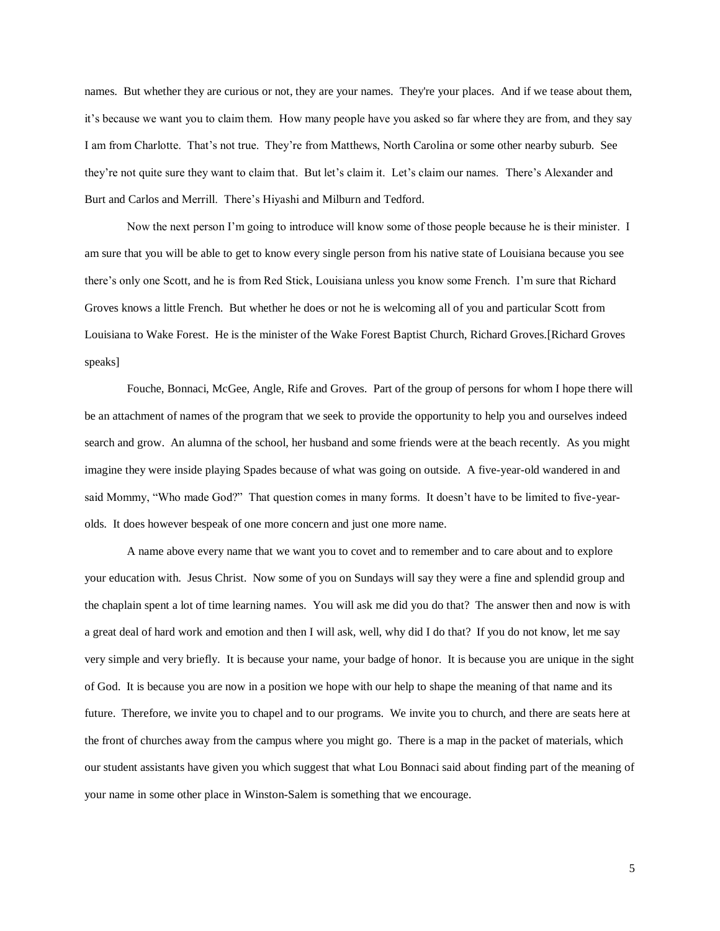names. But whether they are curious or not, they are your names. They're your places. And if we tease about them, it's because we want you to claim them. How many people have you asked so far where they are from, and they say I am from Charlotte. That's not true. They're from Matthews, North Carolina or some other nearby suburb. See they're not quite sure they want to claim that. But let's claim it. Let's claim our names. There's Alexander and Burt and Carlos and Merrill. There's Hiyashi and Milburn and Tedford.

Now the next person I'm going to introduce will know some of those people because he is their minister. I am sure that you will be able to get to know every single person from his native state of Louisiana because you see there's only one Scott, and he is from Red Stick, Louisiana unless you know some French. I'm sure that Richard Groves knows a little French. But whether he does or not he is welcoming all of you and particular Scott from Louisiana to Wake Forest. He is the minister of the Wake Forest Baptist Church, Richard Groves.[Richard Groves speaks]

Fouche, Bonnaci, McGee, Angle, Rife and Groves. Part of the group of persons for whom I hope there will be an attachment of names of the program that we seek to provide the opportunity to help you and ourselves indeed search and grow. An alumna of the school, her husband and some friends were at the beach recently. As you might imagine they were inside playing Spades because of what was going on outside. A five-year-old wandered in and said Mommy, "Who made God?" That question comes in many forms. It doesn't have to be limited to five-yearolds. It does however bespeak of one more concern and just one more name.

A name above every name that we want you to covet and to remember and to care about and to explore your education with. Jesus Christ. Now some of you on Sundays will say they were a fine and splendid group and the chaplain spent a lot of time learning names. You will ask me did you do that? The answer then and now is with a great deal of hard work and emotion and then I will ask, well, why did I do that? If you do not know, let me say very simple and very briefly. It is because your name, your badge of honor. It is because you are unique in the sight of God. It is because you are now in a position we hope with our help to shape the meaning of that name and its future. Therefore, we invite you to chapel and to our programs. We invite you to church, and there are seats here at the front of churches away from the campus where you might go. There is a map in the packet of materials, which our student assistants have given you which suggest that what Lou Bonnaci said about finding part of the meaning of your name in some other place in Winston-Salem is something that we encourage.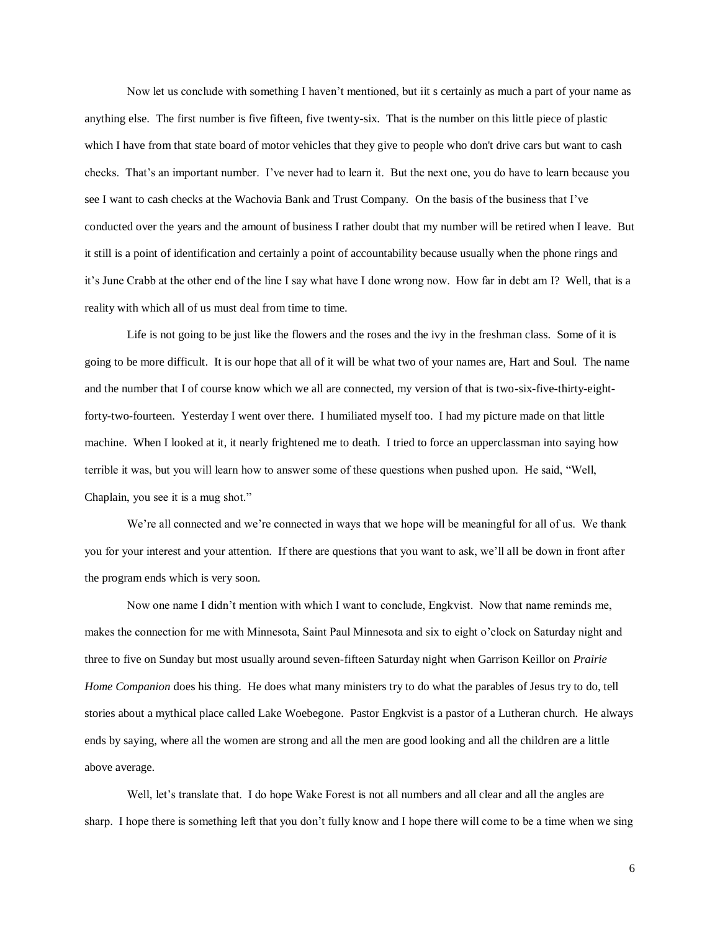Now let us conclude with something I haven't mentioned, but iit s certainly as much a part of your name as anything else. The first number is five fifteen, five twenty-six. That is the number on this little piece of plastic which I have from that state board of motor vehicles that they give to people who don't drive cars but want to cash checks. That's an important number. I've never had to learn it. But the next one, you do have to learn because you see I want to cash checks at the Wachovia Bank and Trust Company. On the basis of the business that I've conducted over the years and the amount of business I rather doubt that my number will be retired when I leave. But it still is a point of identification and certainly a point of accountability because usually when the phone rings and it's June Crabb at the other end of the line I say what have I done wrong now. How far in debt am I? Well, that is a reality with which all of us must deal from time to time.

Life is not going to be just like the flowers and the roses and the ivy in the freshman class. Some of it is going to be more difficult. It is our hope that all of it will be what two of your names are, Hart and Soul. The name and the number that I of course know which we all are connected, my version of that is two-six-five-thirty-eightforty-two-fourteen. Yesterday I went over there. I humiliated myself too. I had my picture made on that little machine. When I looked at it, it nearly frightened me to death. I tried to force an upperclassman into saying how terrible it was, but you will learn how to answer some of these questions when pushed upon. He said, "Well, Chaplain, you see it is a mug shot."

We're all connected and we're connected in ways that we hope will be meaningful for all of us. We thank you for your interest and your attention. If there are questions that you want to ask, we'll all be down in front after the program ends which is very soon.

Now one name I didn't mention with which I want to conclude, Engkvist. Now that name reminds me, makes the connection for me with Minnesota, Saint Paul Minnesota and six to eight o'clock on Saturday night and three to five on Sunday but most usually around seven-fifteen Saturday night when Garrison Keillor on *Prairie Home Companion* does his thing. He does what many ministers try to do what the parables of Jesus try to do, tell stories about a mythical place called Lake Woebegone. Pastor Engkvist is a pastor of a Lutheran church. He always ends by saying, where all the women are strong and all the men are good looking and all the children are a little above average.

Well, let's translate that. I do hope Wake Forest is not all numbers and all clear and all the angles are sharp. I hope there is something left that you don't fully know and I hope there will come to be a time when we sing